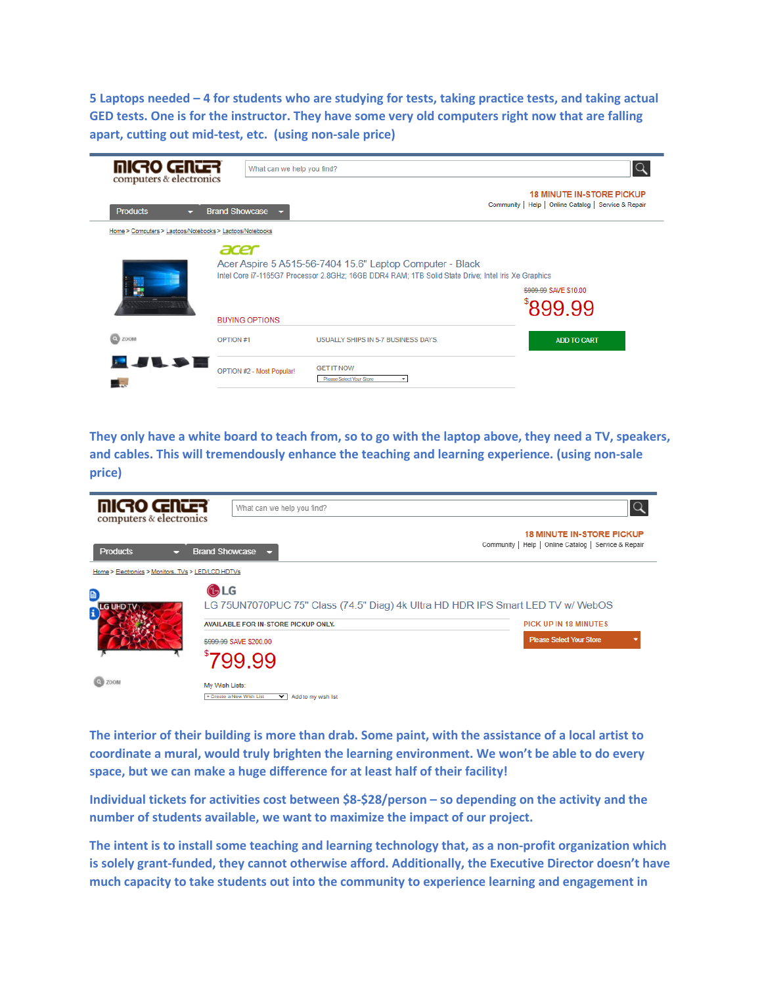**5 Laptops needed – 4 for students who are studying for tests, taking practice tests, and taking actual GED tests. One is for the instructor. They have some very old computers right now that are falling apart, cutting out mid-test, etc. (using non-sale price)**



**They only have a white board to teach from, so to go with the laptop above, they need a TV, speakers, and cables. This will tremendously enhance the teaching and learning experience. (using non-sale price)**

| micro cantar<br>computers & electronics            | What can we help you find?                                                                             |                                                                                                                                                    |
|----------------------------------------------------|--------------------------------------------------------------------------------------------------------|----------------------------------------------------------------------------------------------------------------------------------------------------|
| <b>Products</b>                                    | <b>Brand Showcase</b>                                                                                  | <b>18 MINUTE IN-STORE PICKUP</b><br>Community   Help   Online Catalog   Service & Repair                                                           |
| Home > Electronics > Monitors, TVs > LED/LCD HDTVs |                                                                                                        |                                                                                                                                                    |
| D<br>HD TV<br>i                                    | <b>GLG</b><br>AVAILABLE FOR IN-STORE PICKUP ONLY.<br>\$999.99 SAVE \$200.00                            | LG 75UN7070PUC 75" Class (74.5" Diag) 4k Ultra HD HDR IPS Smart LED TV w/ WebOS<br><b>PICK UP IN 18 MINUTES</b><br><b>Please Select Your Store</b> |
| $Q$ zoom                                           | 799.99<br>My Wish Lists:<br>+ Create a New Wish List<br>$\overline{\mathbf{v}}$<br>Add to my wish list |                                                                                                                                                    |

**The interior of their building is more than drab. Some paint, with the assistance of a local artist to coordinate a mural, would truly brighten the learning environment. We won't be able to do every space, but we can make a huge difference for at least half of their facility!**

**Individual tickets for activities cost between \$8-\$28/person – so depending on the activity and the number of students available, we want to maximize the impact of our project.**

**The intent is to install some teaching and learning technology that, as a non-profit organization which is solely grant-funded, they cannot otherwise afford. Additionally, the Executive Director doesn't have much capacity to take students out into the community to experience learning and engagement in**